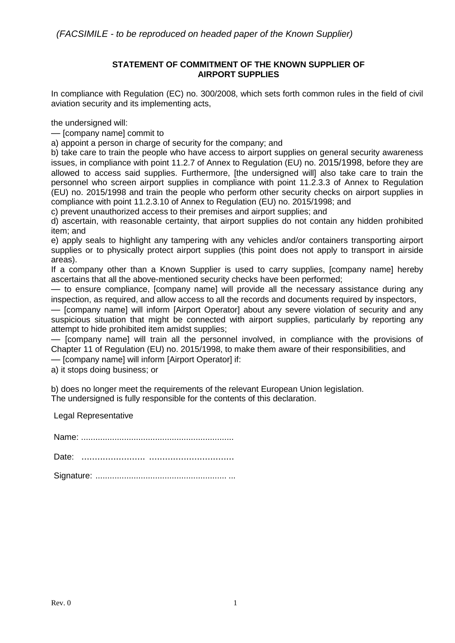#### **STATEMENT OF COMMITMENT OF THE KNOWN SUPPLIER OF AIRPORT SUPPLIES**

In compliance with Regulation (EC) no. 300/2008, which sets forth common rules in the field of civil aviation security and its implementing acts,

the undersigned will:

— [company name] commit to

a) appoint a person in charge of security for the company; and

b) take care to train the people who have access to airport supplies on general security awareness issues, in compliance with point 11.2.7 of Annex to Regulation (EU) no. 2015/1998, before they are allowed to access said supplies. Furthermore, [the undersigned will] also take care to train the personnel who screen airport supplies in compliance with point 11.2.3.3 of Annex to Regulation (EU) no. 2015/1998 and train the people who perform other security checks on airport supplies in compliance with point 11.2.3.10 of Annex to Regulation (EU) no. 2015/1998; and

c) prevent unauthorized access to their premises and airport supplies; and

d) ascertain, with reasonable certainty, that airport supplies do not contain any hidden prohibited item; and

e) apply seals to highlight any tampering with any vehicles and/or containers transporting airport supplies or to physically protect airport supplies (this point does not apply to transport in airside areas).

If a company other than a Known Supplier is used to carry supplies, [company name] hereby ascertains that all the above-mentioned security checks have been performed;

— to ensure compliance, [company name] will provide all the necessary assistance during any inspection, as required, and allow access to all the records and documents required by inspectors,

— [company name] will inform [Airport Operator] about any severe violation of security and any suspicious situation that might be connected with airport supplies, particularly by reporting any attempt to hide prohibited item amidst supplies;

— [company name] will train all the personnel involved, in compliance with the provisions of Chapter 11 of Regulation (EU) no. 2015/1998, to make them aware of their responsibilities, and — [company name] will inform [Airport Operator] if:

a) it stops doing business; or

b) does no longer meet the requirements of the relevant European Union legislation. The undersigned is fully responsible for the contents of this declaration.

Legal Representative

Name: ................................................................

| Date: |  |  |
|-------|--|--|
|       |  |  |

Signature: ....................................................... ...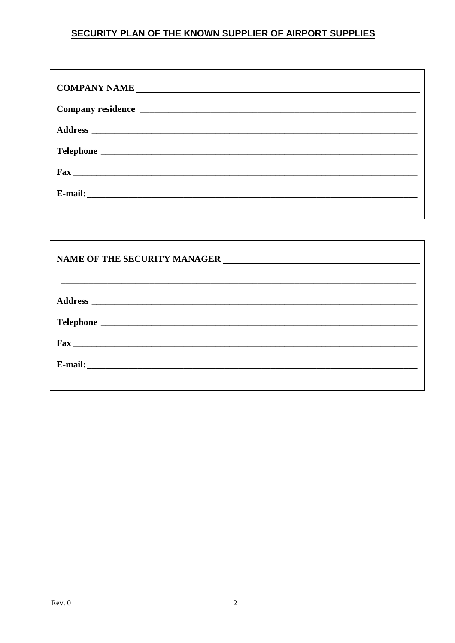# SECURITY PLAN OF THE KNOWN SUPPLIER OF AIRPORT SUPPLIES

| $\text{Fax}$ |
|--------------|
|              |
|              |

| $\text{Fax}$ |  |
|--------------|--|
|              |  |
|              |  |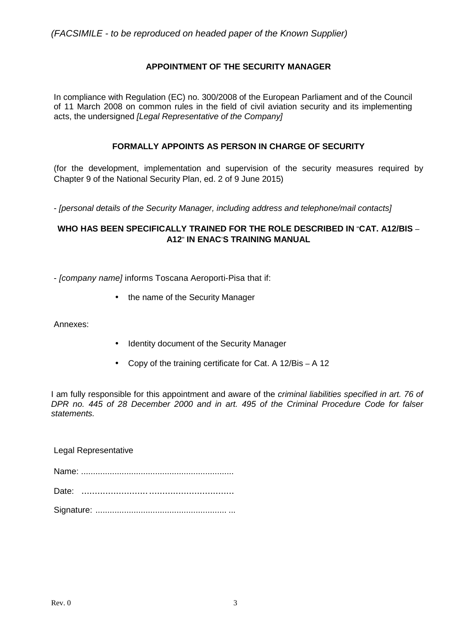### **APPOINTMENT OF THE SECURITY MANAGER**

In compliance with Regulation (EC) no. 300/2008 of the European Parliament and of the Council of 11 March 2008 on common rules in the field of civil aviation security and its implementing acts, the undersigned *[Legal Representative of the Company]* 

#### **FORMALLY APPOINTS AS PERSON IN CHARGE OF SECURITY**

(for the development, implementation and supervision of the security measures required by Chapter 9 of the National Security Plan, ed. 2 of 9 June 2015)

- [personal details of the Security Manager, including address and telephone/mail contacts]

#### **WHO HAS BEEN SPECIFICALLY TRAINED FOR THE ROLE DESCRIBED IN** "**CAT. A12/BIS** – **A12**" **IN ENAC**'**S TRAINING MANUAL**

- [company name] informs Toscana Aeroporti-Pisa that if:

• the name of the Security Manager

Annexes:

- Identity document of the Security Manager
- Copy of the training certificate for Cat. A 12/Bis A 12

I am fully responsible for this appointment and aware of the criminal liabilities specified in art. 76 of DPR no. 445 of 28 December 2000 and in art. 495 of the Criminal Procedure Code for falser statements.

Legal Representative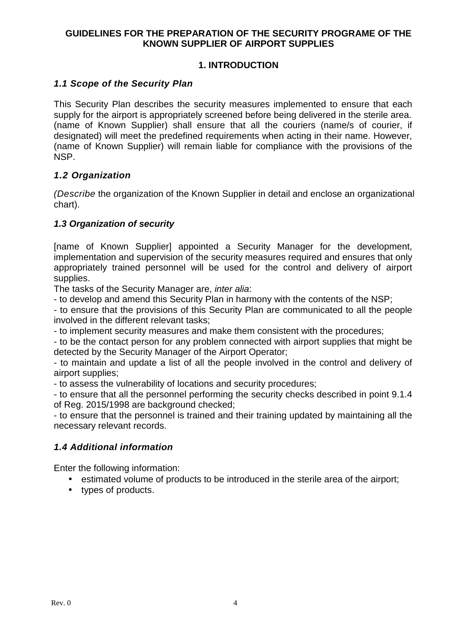### **GUIDELINES FOR THE PREPARATION OF THE SECURITY PROGRAME OF THE KNOWN SUPPLIER OF AIRPORT SUPPLIES**

# **1. INTRODUCTION**

### **1.1 Scope of the Security Plan**

This Security Plan describes the security measures implemented to ensure that each supply for the airport is appropriately screened before being delivered in the sterile area. (name of Known Supplier) shall ensure that all the couriers (name/s of courier, if designated) will meet the predefined requirements when acting in their name. However, (name of Known Supplier) will remain liable for compliance with the provisions of the NSP.

### **1.2 Organization**

(Describe the organization of the Known Supplier in detail and enclose an organizational chart).

### **1.3 Organization of security**

[name of Known Supplier] appointed a Security Manager for the development, implementation and supervision of the security measures required and ensures that only appropriately trained personnel will be used for the control and delivery of airport supplies.

The tasks of the Security Manager are, *inter alia*:

- to develop and amend this Security Plan in harmony with the contents of the NSP;

- to ensure that the provisions of this Security Plan are communicated to all the people involved in the different relevant tasks;

- to implement security measures and make them consistent with the procedures;

- to be the contact person for any problem connected with airport supplies that might be detected by the Security Manager of the Airport Operator;

- to maintain and update a list of all the people involved in the control and delivery of airport supplies;

- to assess the vulnerability of locations and security procedures;

- to ensure that all the personnel performing the security checks described in point 9.1.4 of Reg. 2015/1998 are background checked;

- to ensure that the personnel is trained and their training updated by maintaining all the necessary relevant records.

### **1.4 Additional information**

Enter the following information:

- estimated volume of products to be introduced in the sterile area of the airport;
- types of products.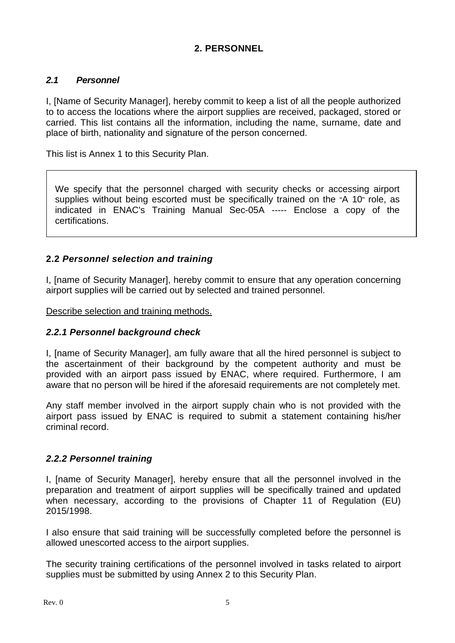# **2. PERSONNEL**

### **2.1 Personnel**

I, [Name of Security Manager], hereby commit to keep a list of all the people authorized to to access the locations where the airport supplies are received, packaged, stored or carried. This list contains all the information, including the name, surname, date and place of birth, nationality and signature of the person concerned.

This list is Annex 1 to this Security Plan.

We specify that the personnel charged with security checks or accessing airport supplies without being escorted must be specifically trained on the "A 10" role, as indicated in ENAC's Training Manual Sec-05A ----- Enclose a copy of the certifications.

### **2.2 Personnel selection and training**

I, [name of Security Manager], hereby commit to ensure that any operation concerning airport supplies will be carried out by selected and trained personnel.

Describe selection and training methods.

### **2.2.1 Personnel background check**

I, [name of Security Manager], am fully aware that all the hired personnel is subject to the ascertainment of their background by the competent authority and must be provided with an airport pass issued by ENAC, where required. Furthermore, I am aware that no person will be hired if the aforesaid requirements are not completely met.

Any staff member involved in the airport supply chain who is not provided with the airport pass issued by ENAC is required to submit a statement containing his/her criminal record.

### **2.2.2 Personnel training**

I, [name of Security Manager], hereby ensure that all the personnel involved in the preparation and treatment of airport supplies will be specifically trained and updated when necessary, according to the provisions of Chapter 11 of Regulation (EU) 2015/1998.

I also ensure that said training will be successfully completed before the personnel is allowed unescorted access to the airport supplies.

The security training certifications of the personnel involved in tasks related to airport supplies must be submitted by using Annex 2 to this Security Plan.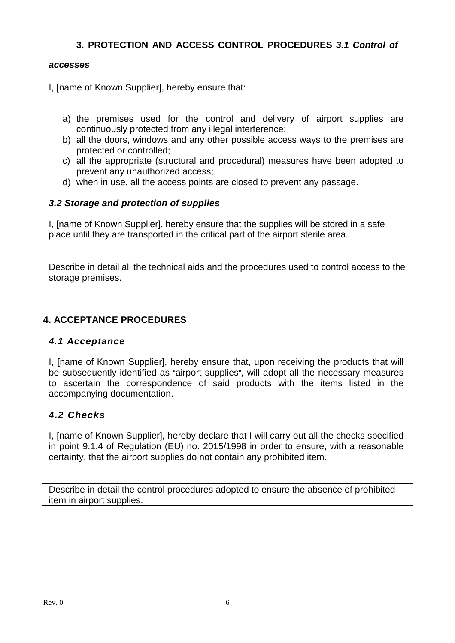# **3. PROTECTION AND ACCESS CONTROL PROCEDURES 3.1 Control of**

### **accesses**

I, [name of Known Supplier], hereby ensure that:

- a) the premises used for the control and delivery of airport supplies are continuously protected from any illegal interference;
- b) all the doors, windows and any other possible access ways to the premises are protected or controlled;
- c) all the appropriate (structural and procedural) measures have been adopted to prevent any unauthorized access;
- d) when in use, all the access points are closed to prevent any passage.

### **3.2 Storage and protection of supplies**

I, [name of Known Supplier], hereby ensure that the supplies will be stored in a safe place until they are transported in the critical part of the airport sterile area.

Describe in detail all the technical aids and the procedures used to control access to the storage premises.

### **4. ACCEPTANCE PROCEDURES**

### **4.1 Acceptance**

I, [name of Known Supplier], hereby ensure that, upon receiving the products that will be subsequently identified as "airport supplies", will adopt all the necessary measures to ascertain the correspondence of said products with the items listed in the accompanying documentation.

### **4.2 Checks**

I, [name of Known Supplier], hereby declare that I will carry out all the checks specified in point 9.1.4 of Regulation (EU) no. 2015/1998 in order to ensure, with a reasonable certainty, that the airport supplies do not contain any prohibited item.

Describe in detail the control procedures adopted to ensure the absence of prohibited item in airport supplies.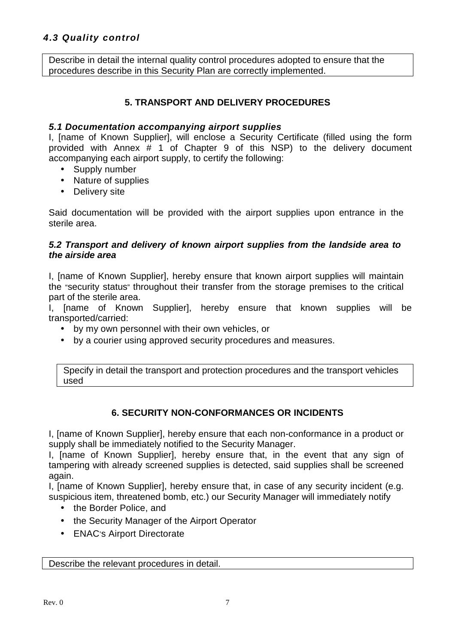# **4.3 Quality control**

Describe in detail the internal quality control procedures adopted to ensure that the procedures describe in this Security Plan are correctly implemented.

### **5. TRANSPORT AND DELIVERY PROCEDURES**

#### **5.1 Documentation accompanying airport supplies**

I, [name of Known Supplier], will enclose a Security Certificate (filled using the form provided with Annex # 1 of Chapter 9 of this NSP) to the delivery document accompanying each airport supply, to certify the following:

- Supply number
- Nature of supplies
- Delivery site

Said documentation will be provided with the airport supplies upon entrance in the sterile area.

#### **5.2 Transport and delivery of known airport supplies from the landside area to the airside area**

I, [name of Known Supplier], hereby ensure that known airport supplies will maintain the "security status" throughout their transfer from the storage premises to the critical part of the sterile area.

I, [name of Known Supplier], hereby ensure that known supplies will be transported/carried:

- by my own personnel with their own vehicles, or
- by a courier using approved security procedures and measures.

Specify in detail the transport and protection procedures and the transport vehicles used

### **6. SECURITY NON-CONFORMANCES OR INCIDENTS**

I, [name of Known Supplier], hereby ensure that each non-conformance in a product or supply shall be immediately notified to the Security Manager.

I, [name of Known Supplier], hereby ensure that, in the event that any sign of tampering with already screened supplies is detected, said supplies shall be screened again.

I, [name of Known Supplier], hereby ensure that, in case of any security incident (e.g. suspicious item, threatened bomb, etc.) our Security Manager will immediately notify

- the Border Police, and
- the Security Manager of the Airport Operator
- ENAC's Airport Directorate

Describe the relevant procedures in detail.